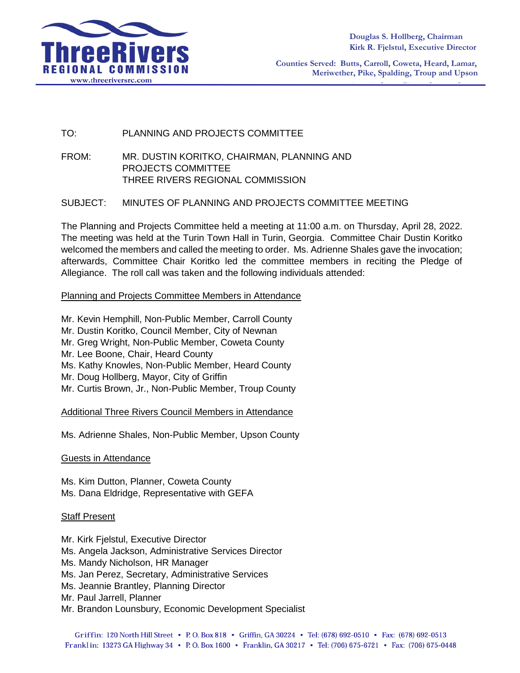

**Counties Served: Butts, Carroll, Coweta, Heard, Lamar, Meriwether, Pike, Spalding, Troup and Upson**

## TO: PLANNING AND PROJECTS COMMITTEE

FROM: MR. DUSTIN KORITKO, CHAIRMAN, PLANNING AND PROJECTS COMMITTEE THREE RIVERS REGIONAL COMMISSION

### SUBJECT: MINUTES OF PLANNING AND PROJECTS COMMITTEE MEETING

The Planning and Projects Committee held a meeting at 11:00 a.m. on Thursday, April 28, 2022. The meeting was held at the Turin Town Hall in Turin, Georgia. Committee Chair Dustin Koritko welcomed the members and called the meeting to order. Ms. Adrienne Shales gave the invocation; afterwards, Committee Chair Koritko led the committee members in reciting the Pledge of Allegiance. The roll call was taken and the following individuals attended:

#### Planning and Projects Committee Members in Attendance

Mr. Kevin Hemphill, Non-Public Member, Carroll County Mr. Dustin Koritko, Council Member, City of Newnan Mr. Greg Wright, Non-Public Member, Coweta County Mr. Lee Boone, Chair, Heard County Ms. Kathy Knowles, Non-Public Member, Heard County Mr. Doug Hollberg, Mayor, City of Griffin Mr. Curtis Brown, Jr., Non-Public Member, Troup County

Additional Three Rivers Council Members in Attendance

Ms. Adrienne Shales, Non-Public Member, Upson County

#### Guests in Attendance

Ms. Kim Dutton, Planner, Coweta County Ms. Dana Eldridge, Representative with GEFA

#### Staff Present

Mr. Kirk Fjelstul, Executive Director Ms. Angela Jackson, Administrative Services Director Ms. Mandy Nicholson, HR Manager Ms. Jan Perez, Secretary, Administrative Services Ms. Jeannie Brantley, Planning Director Mr. Paul Jarrell, Planner Mr. Brandon Lounsbury, Economic Development Specialist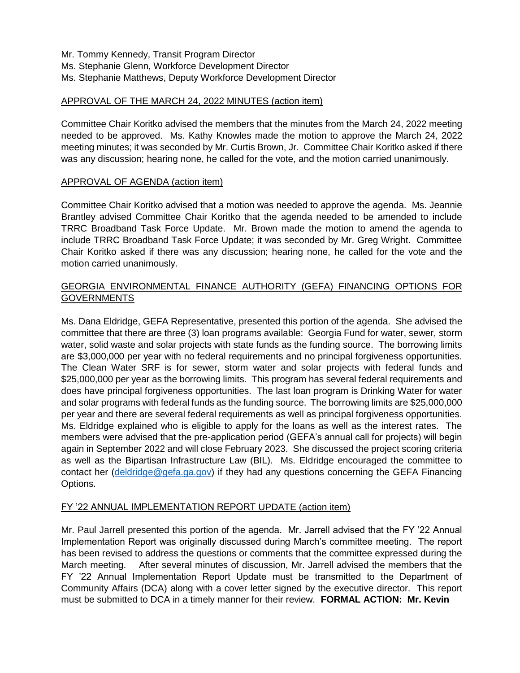Mr. Tommy Kennedy, Transit Program Director Ms. Stephanie Glenn, Workforce Development Director Ms. Stephanie Matthews, Deputy Workforce Development Director

## APPROVAL OF THE MARCH 24, 2022 MINUTES (action item)

Committee Chair Koritko advised the members that the minutes from the March 24, 2022 meeting needed to be approved. Ms. Kathy Knowles made the motion to approve the March 24, 2022 meeting minutes; it was seconded by Mr. Curtis Brown, Jr. Committee Chair Koritko asked if there was any discussion; hearing none, he called for the vote, and the motion carried unanimously.

## APPROVAL OF AGENDA (action item)

Committee Chair Koritko advised that a motion was needed to approve the agenda. Ms. Jeannie Brantley advised Committee Chair Koritko that the agenda needed to be amended to include TRRC Broadband Task Force Update. Mr. Brown made the motion to amend the agenda to include TRRC Broadband Task Force Update; it was seconded by Mr. Greg Wright. Committee Chair Koritko asked if there was any discussion; hearing none, he called for the vote and the motion carried unanimously.

# GEORGIA ENVIRONMENTAL FINANCE AUTHORITY (GEFA) FINANCING OPTIONS FOR **GOVERNMENTS**

Ms. Dana Eldridge, GEFA Representative, presented this portion of the agenda. She advised the committee that there are three (3) loan programs available: Georgia Fund for water, sewer, storm water, solid waste and solar projects with state funds as the funding source. The borrowing limits are \$3,000,000 per year with no federal requirements and no principal forgiveness opportunities. The Clean Water SRF is for sewer, storm water and solar projects with federal funds and \$25,000,000 per year as the borrowing limits. This program has several federal requirements and does have principal forgiveness opportunities. The last loan program is Drinking Water for water and solar programs with federal funds as the funding source. The borrowing limits are \$25,000,000 per year and there are several federal requirements as well as principal forgiveness opportunities. Ms. Eldridge explained who is eligible to apply for the loans as well as the interest rates. The members were advised that the pre-application period (GEFA's annual call for projects) will begin again in September 2022 and will close February 2023. She discussed the project scoring criteria as well as the Bipartisan Infrastructure Law (BIL). Ms. Eldridge encouraged the committee to contact her [\(deldridge@gefa.ga.gov\)](mailto:deldridge@gefa.ga.gov) if they had any questions concerning the GEFA Financing Options.

## FY '22 ANNUAL IMPLEMENTATION REPORT UPDATE (action item)

Mr. Paul Jarrell presented this portion of the agenda. Mr. Jarrell advised that the FY '22 Annual Implementation Report was originally discussed during March's committee meeting. The report has been revised to address the questions or comments that the committee expressed during the March meeting. After several minutes of discussion, Mr. Jarrell advised the members that the FY '22 Annual Implementation Report Update must be transmitted to the Department of Community Affairs (DCA) along with a cover letter signed by the executive director. This report must be submitted to DCA in a timely manner for their review. **FORMAL ACTION: Mr. Kevin**